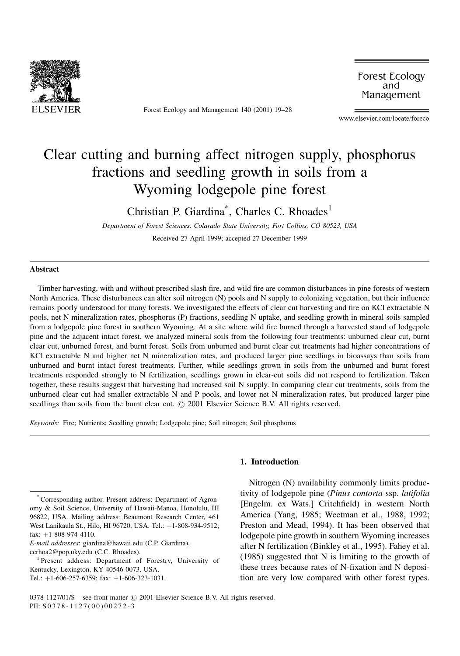

Forest Ecology and Management 140 (2001) 19-28

Forest Ecology and Management

www.elsevier.com/locate/foreco

# Clear cutting and burning affect nitrogen supply, phosphorus fractions and seedling growth in soils from a Wyoming lodgepole pine forest

Christian P. Giardina<sup>\*</sup>, Charles C. Rhoades<sup>1</sup>

Department of Forest Sciences, Colarado State University, Fort Collins, CO 80523, USA

Received 27 April 1999; accepted 27 December 1999

#### Abstract

Timber harvesting, with and without prescribed slash fire, and wild fire are common disturbances in pine forests of western North America. These disturbances can alter soil nitrogen (N) pools and N supply to colonizing vegetation, but their influence remains poorly understood for many forests. We investigated the effects of clear cut harvesting and fire on KCl extractable N pools, net N mineralization rates, phosphorus (P) fractions, seedling N uptake, and seedling growth in mineral soils sampled from a lodgepole pine forest in southern Wyoming. At a site where wild fire burned through a harvested stand of lodgepole pine and the adjacent intact forest, we analyzed mineral soils from the following four treatments: unburned clear cut, burnt clear cut, unburned forest, and burnt forest. Soils from unburned and burnt clear cut treatments had higher concentrations of KCl extractable N and higher net N mineralization rates, and produced larger pine seedlings in bioassays than soils from unburned and burnt intact forest treatments. Further, while seedlings grown in soils from the unburned and burnt forest treatments responded strongly to N fertilization, seedlings grown in clear-cut soils did not respond to fertilization. Taken together, these results suggest that harvesting had increased soil N supply. In comparing clear cut treatments, soils from the unburned clear cut had smaller extractable N and P pools, and lower net N mineralization rates, but produced larger pine seedlings than soils from the burnt clear cut.  $\odot$  2001 Elsevier Science B.V. All rights reserved.

Keywords: Fire; Nutrients; Seedling growth; Lodgepole pine; Soil nitrogen; Soil phosphorus

# 1. Introduction

Nitrogen (N) availability commonly limits productivity of lodgepole pine (Pinus contorta ssp. latifolia [Engelm. ex Wats.] Critchfield) in western North America (Yang, 1985; Weetman et al., 1988, 1992; Preston and Mead, 1994). It has been observed that lodgepole pine growth in southern Wyoming increases after N fertilization (Binkley et al., 1995). Fahey et al. (1985) suggested that N is limiting to the growth of these trees because rates of N-fixation and N deposition are very low compared with other forest types.

<sup>\*</sup>Corresponding author. Present address: Department of Agronomy & Soil Science, University of Hawaii-Manoa, Honolulu, HI 96822, USA. Mailing address: Beaumont Research Center, 461 West Lanikaula St., Hilo, HI 96720, USA. Tel.: +1-808-934-9512; fax:  $+1-808-974-4110$ .

E-mail addresses: giardina@hawaii.edu (C.P. Giardina),

ccrhoa2@pop.uky.edu (C.C. Rhoades).<br><sup>1</sup> Present address: Department of Forestry, University of Kentucky, Lexington, KY 40546-0073. USA. Tel.: +1-606-257-6359; fax: +1-606-323-1031.

 $0378-1127/01/\$$  - see front matter  $\odot$  2001 Elsevier Science B.V. All rights reserved. PII: S 0378-1127(00)00272-3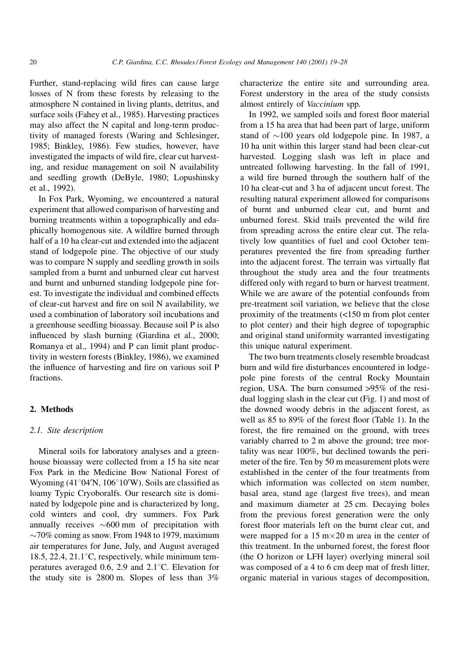Further, stand-replacing wild fires can cause large losses of N from these forests by releasing to the atmosphere N contained in living plants, detritus, and surface soils (Fahey et al., 1985). Harvesting practices may also affect the N capital and long-term productivity of managed forests (Waring and Schlesinger, 1985; Binkley, 1986). Few studies, however, have investigated the impacts of wild fire, clear cut harvesting, and residue management on soil N availability and seedling growth (DeByle, 1980; Lopushinsky et al., 1992).

In Fox Park, Wyoming, we encountered a natural experiment that allowed comparison of harvesting and burning treatments within a topographically and edaphically homogenous site. A wildfire burned through half of a 10 ha clear-cut and extended into the adjacent stand of lodgepole pine. The objective of our study was to compare N supply and seedling growth in soils sampled from a burnt and unburned clear cut harvest and burnt and unburned standing lodgepole pine forest. To investigate the individual and combined effects of clear-cut harvest and fire on soil N availability, we used a combination of laboratory soil incubations and a greenhouse seedling bioassay. Because soil P is also influenced by slash burning (Giardina et al., 2000; Romanya et al., 1994) and P can limit plant productivity in western forests (Binkley, 1986), we examined the influence of harvesting and fire on various soil P fractions.

#### 2. Methods

# 2.1. Site description

Mineral soils for laboratory analyses and a greenhouse bioassay were collected from a 15 ha site near Fox Park in the Medicine Bow National Forest of Wyoming (41°04′N, 106°10′W). Soils are classified as loamy Typic Cryoboralfs. Our research site is dominated by lodgepole pine and is characterized by long, cold winters and cool, dry summers. Fox Park annually receives  $\sim 600$  mm of precipitation with  $\sim$ 70% coming as snow. From 1948 to 1979, maximum air temperatures for June, July, and August averaged 18.5, 22.4, 21.1 $\degree$ C, respectively, while minimum temperatures averaged 0.6, 2.9 and  $2.1^{\circ}$ C. Elevation for the study site is 2800 m. Slopes of less than 3%

characterize the entire site and surrounding area. Forest understory in the area of the study consists almost entirely of Vaccinium spp.

In 1992, we sampled soils and forest floor material from a 15 ha area that had been part of large, uniform stand of  $\sim$ 100 years old lodgepole pine. In 1987, a 10 ha unit within this larger stand had been clear-cut harvested. Logging slash was left in place and untreated following harvesting. In the fall of 1991, a wild fire burned through the southern half of the 10 ha clear-cut and 3 ha of adjacent uncut forest. The resulting natural experiment allowed for comparisons of burnt and unburned clear cut, and burnt and unburned forest. Skid trails prevented the wild fire from spreading across the entire clear cut. The relatively low quantities of fuel and cool October temperatures prevented the fire from spreading further into the adjacent forest. The terrain was virtually flat throughout the study area and the four treatments differed only with regard to burn or harvest treatment. While we are aware of the potential confounds from pre-treatment soil variation, we believe that the close proximity of the treatments (<150 m from plot center to plot center) and their high degree of topographic and original stand uniformity warranted investigating this unique natural experiment.

The two burn treatments closely resemble broadcast burn and wild fire disturbances encountered in lodgepole pine forests of the central Rocky Mountain region, USA. The burn consumed >95% of the residual logging slash in the clear cut (Fig. 1) and most of the downed woody debris in the adjacent forest, as well as  $85$  to  $89\%$  of the forest floor (Table 1). In the forest, the fire remained on the ground, with trees variably charred to 2 m above the ground; tree mortality was near 100%, but declined towards the perimeter of the fire. Ten by 50 m measurement plots were established in the center of the four treatments from which information was collected on stem number, basal area, stand age (largest five trees), and mean and maximum diameter at 25 cm. Decaying boles from the previous forest generation were the only forest floor materials left on the burnt clear cut, and were mapped for a  $15 \text{ m} \times 20 \text{ m}$  area in the center of this treatment. In the unburned forest, the forest floor (the O horizon or LFH layer) overlying mineral soil was composed of a 4 to 6 cm deep mat of fresh litter, organic material in various stages of decomposition,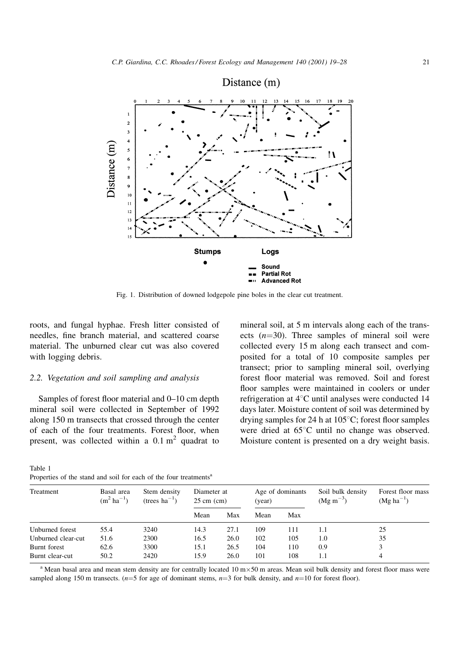

Fig. 1. Distribution of downed lodgepole pine boles in the clear cut treatment.

roots, and fungal hyphae. Fresh litter consisted of needles, fine branch material, and scattered coarse material. The unburned clear cut was also covered with logging debris.

# 2.2. Vegetation and soil sampling and analysis

Samples of forest floor material and  $0-10$  cm depth mineral soil were collected in September of 1992 along 150 m transects that crossed through the center of each of the four treatments. Forest floor, when present, was collected within a  $0.1 \text{ m}^2$  quadrat to

mineral soil, at 5 m intervals along each of the transects  $(n=30)$ . Three samples of mineral soil were collected every 15 m along each transect and composited for a total of 10 composite samples per transect; prior to sampling mineral soil, overlying forest floor material was removed. Soil and forest floor samples were maintained in coolers or under refrigeration at  $4^{\circ}$ C until analyses were conducted 14 days later. Moisture content of soil was determined by drying samples for 24 h at  $105^{\circ}$ C; forest floor samples were dried at  $65^{\circ}$ C until no change was observed. Moisture content is presented on a dry weight basis.

Soil bulk density

Forest floor mass

Table 1 Properties of the stand and soil for each of the four treatments<sup>a</sup>

Stem density

Treatment Basal area

|                    | $(m^2 \text{ ha}^{-1})$ | $(trees ha^{-1})$ | $25 \text{ cm}$ (cm) |      | (year) |     | $(Mg \, m^{-3})$ | $(Mg ha^{-1})$ |  |
|--------------------|-------------------------|-------------------|----------------------|------|--------|-----|------------------|----------------|--|
|                    |                         |                   | Mean                 | Max  | Mean   | Max |                  |                |  |
| Unburned forest    | 55.4                    | 3240              | 14.3                 | 27.1 | 109    | 111 |                  | 25             |  |
| Unburned clear-cut | 51.6                    | 2300              | 16.5                 | 26.0 | 102    | 105 | 1.0              | 35             |  |
| Burnt forest       | 62.6                    | 3300              | 15.1                 | 26.5 | 104    | 110 | 0.9              | 3              |  |
| Burnt clear-cut    | 50.2                    | 2420              | 15.9                 | 26.0 | 101    | 108 | 1.1              |                |  |

Age of dominants

Diameter at 25 cm (cm)

<sup>a</sup> Mean basal area and mean stem density are for centrally located  $10 \text{ m} \times 50 \text{ m}$  areas. Mean soil bulk density and forest floor mass were sampled along 150 m transects. ( $n=5$  for age of dominant stems,  $n=3$  for bulk density, and  $n=10$  for forest floor).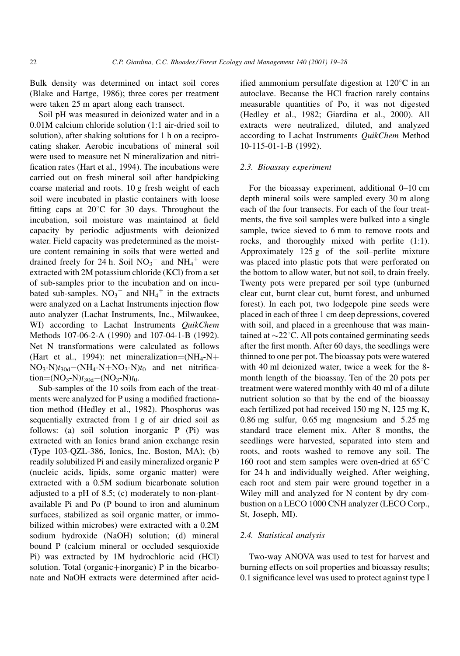Bulk density was determined on intact soil cores (Blake and Hartge, 1986); three cores per treatment were taken 25 m apart along each transect.

Soil pH was measured in deionized water and in a 0.01M calcium chloride solution (1:1 air-dried soil to solution), after shaking solutions for 1 h on a reciprocating shaker. Aerobic incubations of mineral soil were used to measure net N mineralization and nitri fication rates (Hart et al., 1994). The incubations were carried out on fresh mineral soil after handpicking coarse material and roots. 10 g fresh weight of each soil were incubated in plastic containers with loose fitting caps at  $20^{\circ}$ C for 30 days. Throughout the incubation, soil moisture was maintained at field capacity by periodic adjustments with deionized water. Field capacity was predetermined as the moisture content remaining in soils that were wetted and drained freely for 24 h. Soil  $NO<sub>3</sub><sup>-</sup>$  and  $NH<sub>4</sub><sup>+</sup>$  were extracted with 2M potassium chloride (KCl) from a set of sub-samples prior to the incubation and on incubated sub-samples.  $NO_3^-$  and  $NH_4^+$  in the extracts were analyzed on a Lachat Instruments injection flow auto analyzer (Lachat Instruments, Inc., Milwaukee, WI) according to Lachat Instruments QuikChem Methods 107-06-2-A (1990) and 107-04-1-B (1992). Net N transformations were calculated as follows (Hart et al., 1994): net mineralization=(NH<sub>4</sub>-N+  $NO<sub>3</sub>-N)t<sub>30d</sub>$  (NH<sub>4</sub>-N+NO<sub>3</sub>-N)t<sub>0</sub> and net nitrification= $(NO_3-N)t_{30d}-(NO_3-N)t_0$ .

Sub-samples of the 10 soils from each of the treatments were analyzed for P using a modified fractionation method (Hedley et al., 1982). Phosphorus was sequentially extracted from 1 g of air dried soil as follows: (a) soil solution inorganic P (Pi) was extracted with an Ionics brand anion exchange resin (Type 103-QZL-386, Ionics, Inc. Boston, MA); (b) readily solubilized Pi and easily mineralized organic P (nucleic acids, lipids, some organic matter) were extracted with a 0.5M sodium bicarbonate solution adjusted to a pH of 8.5; (c) moderately to non-plantavailable Pi and Po (P bound to iron and aluminum surfaces, stabilized as soil organic matter, or immobilized within microbes) were extracted with a 0.2M sodium hydroxide (NaOH) solution; (d) mineral bound P (calcium mineral or occluded sesquioxide Pi) was extracted by 1M hydrochloric acid (HCl) solution. Total (organic+inorganic) P in the bicarbonate and NaOH extracts were determined after acidified ammonium persulfate digestion at  $120^{\circ}$ C in an autoclave. Because the HCl fraction rarely contains measurable quantities of Po, it was not digested (Hedley et al., 1982; Giardina et al., 2000). All extracts were neutralized, diluted, and analyzed according to Lachat Instruments QuikChem Method 10-115-01-1-B (1992).

#### 2.3. Bioassay experiment

For the bioassay experiment, additional 0-10 cm depth mineral soils were sampled every 30 m along each of the four transects. For each of the four treatments, the five soil samples were bulked into a single sample, twice sieved to 6 mm to remove roots and rocks, and thoroughly mixed with perlite (1:1). Approximately  $125 g$  of the soil-perlite mixture was placed into plastic pots that were perforated on the bottom to allow water, but not soil, to drain freely. Twenty pots were prepared per soil type (unburned clear cut, burnt clear cut, burnt forest, and unburned forest). In each pot, two lodgepole pine seeds were placed in each of three 1 cm deep depressions, covered with soil, and placed in a greenhouse that was maintained at  $\sim$ 22 $\degree$ C. All pots contained germinating seeds after the first month. After 60 days, the seedlings were thinned to one per pot. The bioassay pots were watered with 40 ml deionized water, twice a week for the 8 month length of the bioassay. Ten of the 20 pots per treatment were watered monthly with 40 ml of a dilute nutrient solution so that by the end of the bioassay each fertilized pot had received 150 mg N, 125 mg K, 0.86 mg sulfur, 0.65 mg magnesium and 5.25 mg standard trace element mix. After 8 months, the seedlings were harvested, separated into stem and roots, and roots washed to remove any soil. The 160 root and stem samples were oven-dried at  $65^{\circ}$ C for 24 h and individually weighed. After weighing, each root and stem pair were ground together in a Wiley mill and analyzed for N content by dry combustion on a LECO 1000 CNH analyzer (LECO Corp., St, Joseph, MI).

#### 2.4. Statistical analysis

Two-way ANOVA was used to test for harvest and burning effects on soil properties and bioassay results; 0.1 significance level was used to protect against type I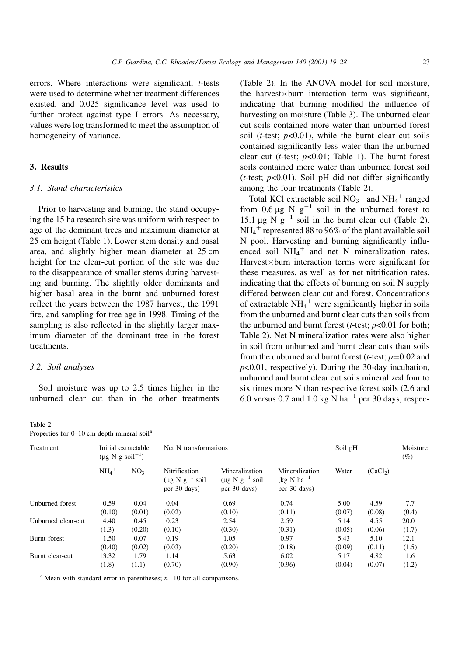errors. Where interactions were significant,  $t$ -tests were used to determine whether treatment differences existed, and 0.025 significance level was used to further protect against type I errors. As necessary, values were log transformed to meet the assumption of homogeneity of variance.

# 3. Results

#### 3.1. Stand characteristics

Prior to harvesting and burning, the stand occupying the 15 ha research site was uniform with respect to age of the dominant trees and maximum diameter at 25 cm height (Table 1). Lower stem density and basal area, and slightly higher mean diameter at 25 cm height for the clear-cut portion of the site was due to the disappearance of smaller stems during harvesting and burning. The slightly older dominants and higher basal area in the burnt and unburned forest reflect the years between the 1987 harvest, the 1991 fire, and sampling for tree age in 1998. Timing of the sampling is also reflected in the slightly larger maximum diameter of the dominant tree in the forest treatments.

# 3.2. Soil analyses

Properties for  $0-10$  cm depth mineral soil<sup>a</sup>

Table 2

Soil moisture was up to 2.5 times higher in the unburned clear cut than in the other treatments

(Table 2). In the ANOVA model for soil moisture, the harvest $\times$ burn interaction term was significant, indicating that burning modified the influence of harvesting on moisture (Table 3). The unburned clear cut soils contained more water than unburned forest soil (*t*-test;  $p<0.01$ ), while the burnt clear cut soils contained significantly less water than the unburned clear cut (*t*-test;  $p<0.01$ ; Table 1). The burnt forest soils contained more water than unburned forest soil (*t*-test;  $p<0.01$ ). Soil pH did not differ significantly among the four treatments (Table 2).

Total KCl extractable soil  $NO_3^-$  and  $NH_4^+$  ranged from 0.6  $\mu$ g Ng<sup>-1</sup> soil in the unburned forest to 15.1  $\mu$ g N  $g^{-1}$  soil in the burnt clear cut (Table 2).  $NH_4^+$  represented 88 to 96% of the plant available soil N pool. Harvesting and burning significantly influenced soil  $NH_4^+$  and net N mineralization rates. Harvest×burn interaction terms were significant for these measures, as well as for net nitrification rates, indicating that the effects of burning on soil N supply differed between clear cut and forest. Concentrations of extractable  $NH_4^+$  were significantly higher in soils from the unburned and burnt clear cuts than soils from the unburned and burnt forest ( $t$ -test;  $p$ <0.01 for both; Table 2). Net N mineralization rates were also higher in soil from unburned and burnt clear cuts than soils from the unburned and burnt forest (*t*-test;  $p=0.02$  and  $p<0.01$ , respectively). During the 30-day incubation, unburned and burnt clear cut soils mineralized four to six times more N than respective forest soils (2.6 and 6.0 versus 0.7 and 1.0 kg N ha<sup> $-1$ </sup> per 30 days, respec-

| Treatment          | Initial extractable<br>$(\mu g \text{ N g soil}^{-1})$ |                 | Net N transformations                                                     | Soil pH                                                             |                                                                    | Moisture<br>(%) |                      |       |
|--------------------|--------------------------------------------------------|-----------------|---------------------------------------------------------------------------|---------------------------------------------------------------------|--------------------------------------------------------------------|-----------------|----------------------|-------|
|                    | $NH_4$ <sup>+</sup>                                    | NO <sub>3</sub> | Nitrification<br>$(\mu g \text{ N } g^{-1} \text{ soil})$<br>per 30 days) | Mineralization<br>$(\mu g \ N g^{-1} \text{ soil})$<br>per 30 days) | Mineralization<br>$(kg \text{ N} \text{ ha}^{-1})$<br>per 30 days) | Water           | (CaCl <sub>2</sub> ) |       |
| Unburned forest    | 0.59                                                   | 0.04            | 0.04                                                                      | 0.69                                                                | 0.74                                                               | 5.00            | 4.59                 | 7.7   |
|                    | (0.10)                                                 | (0.01)          | (0.02)                                                                    | (0.10)                                                              | (0.11)                                                             | (0.07)          | (0.08)               | (0.4) |
| Unburned clear-cut | 4.40                                                   | 0.45            | 0.23                                                                      | 2.54                                                                | 2.59                                                               | 5.14            | 4.55                 | 20.0  |
|                    | (1.3)                                                  | (0.20)          | (0.10)                                                                    | (0.30)                                                              | (0.31)                                                             | (0.05)          | (0.06)               | (1.7) |
| Burnt forest       | 1.50                                                   | 0.07            | 0.19                                                                      | 1.05                                                                | 0.97                                                               | 5.43            | 5.10                 | 12.1  |
|                    | (0.40)                                                 | (0.02)          | (0.03)                                                                    | (0.20)                                                              | (0.18)                                                             | (0.09)          | (0.11)               | (1.5) |
| Burnt clear-cut    | 13.32                                                  | 1.79            | 1.14                                                                      | 5.63                                                                | 6.02                                                               | 5.17            | 4.82                 | 11.6  |
|                    | (1.8)                                                  | (1.1)           | (0.70)                                                                    | (0.90)                                                              | (0.96)                                                             | (0.04)          | (0.07)               | (1.2) |

<sup>a</sup> Mean with standard error in parentheses;  $n=10$  for all comparisons.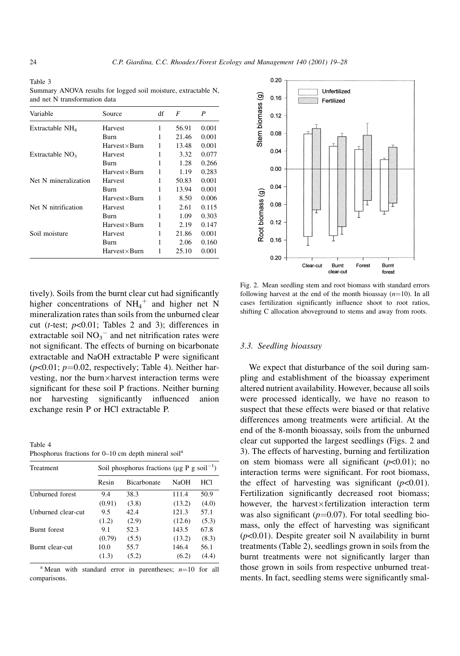Table 3 Summary ANOVA results for logged soil moisture, extractable N, and net N transformation data

| Variable             | Source                   | df | F     | P     |
|----------------------|--------------------------|----|-------|-------|
| Extractable $NH4$    | Harvest                  | 1  | 56.91 | 0.001 |
|                      | Burn                     | 1  | 21.46 | 0.001 |
|                      | $Harvest \times Burn$    |    | 13.48 | 0.001 |
| Extractable $NO3$    | Harvest                  | 1  | 3.32  | 0.077 |
|                      | Burn                     | 1  | 1.28  | 0.266 |
|                      | $H$ arvest $\times$ Burn | 1  | 1.19  | 0.283 |
| Net N mineralization | Harvest                  | 1  | 50.83 | 0.001 |
|                      | Burn                     | 1  | 13.94 | 0.001 |
|                      | $H$ arvest $\times$ Burn | 1  | 8.50  | 0.006 |
| Net N nitrification  | <b>Harvest</b>           | 1  | 2.61  | 0.115 |
|                      | Burn                     | 1  | 1.09  | 0.303 |
|                      | $Harvest \times Burn$    | 1  | 2.19  | 0.147 |
| Soil moisture        | Harvest                  | 1  | 21.86 | 0.001 |
|                      | Burn                     | 1  | 2.06  | 0.160 |
|                      | Harvest×Burn             |    | 25.10 | 0.001 |

tively). Soils from the burnt clear cut had significantly higher concentrations of  $NH_4^+$  and higher net N mineralization rates than soils from the unburned clear cut (*t*-test;  $p<0.01$ ; Tables 2 and 3); differences in extractable soil  $NO<sub>3</sub><sup>-</sup>$  and net nitrification rates were not significant. The effects of burning on bicarbonate extractable and NaOH extractable P were significant  $(p<0.01; p=0.02$ , respectively; Table 4). Neither harvesting, nor the burn-harvest interaction terms were significant for these soil P fractions. Neither burning nor harvesting significantly influenced anion exchange resin P or HCl extractable P.

Table 4

Phosphorus fractions for  $0-10$  cm depth mineral soil<sup>a</sup>

| Treatment          | Soil phosphorus fractions ( $\mu$ g P g soil <sup>-1</sup> ) |                    |             |       |  |  |  |
|--------------------|--------------------------------------------------------------|--------------------|-------------|-------|--|--|--|
|                    | Resin                                                        | <b>Bicarbonate</b> | <b>NaOH</b> | HCl   |  |  |  |
| Unburned forest    | 9.4                                                          | 38.3               | 111.4       | 50.9  |  |  |  |
|                    | (0.91)                                                       | (3.8)              | (13.2)      | (4.0) |  |  |  |
| Unburned clear-cut | 9.5                                                          | 42.4               | 121.3       | 57.1  |  |  |  |
|                    | (1.2)                                                        | (2.9)              | (12.6)      | (5.3) |  |  |  |
| Burnt forest       | 9.1                                                          | 52.3               | 143.5       | 67.8  |  |  |  |
|                    | (0.79)                                                       | (5.5)              | (13.2)      | (8.3) |  |  |  |
| Burnt clear-cut    | 10.0                                                         | 55.7               | 146.4       | 56.1  |  |  |  |
|                    | (1.3)                                                        | (5.2)              | (6.2)       | (4.4) |  |  |  |

<sup>a</sup> Mean with standard error in parentheses;  $n=10$  for all comparisons.

0.08  $0.12$  $0.16$  $0.20$ Burnt Burnt Forest Clear-cut clear-cut forest Fig. 2. Mean seedling stem and root biomass with standard errors

# following harvest at the end of the month bioassay  $(n=10)$ . In all cases fertilization significantly influence shoot to root ratios, shifting C allocation aboveground to stems and away from roots.

#### 3.3. Seedling bioassay

We expect that disturbance of the soil during sampling and establishment of the bioassay experiment altered nutrient availability. However, because all soils were processed identically, we have no reason to suspect that these effects were biased or that relative differences among treatments were artificial. At the end of the 8-month bioassay, soils from the unburned clear cut supported the largest seedlings (Figs. 2 and 3). The effects of harvesting, burning and fertilization on stem biomass were all significant  $(p<0.01)$ ; no interaction terms were significant. For root biomass, the effect of harvesting was significant  $(p<0.01)$ . Fertilization significantly decreased root biomass; however, the harvest×fertilization interaction term was also significant ( $p=0.07$ ). For total seedling biomass, only the effect of harvesting was significant  $(p<0.01)$ . Despite greater soil N availability in burnt treatments (Table 2), seedlings grown in soils from the burnt treatments were not significantly larger than those grown in soils from respective unburned treatments. In fact, seedling stems were significantly smal-

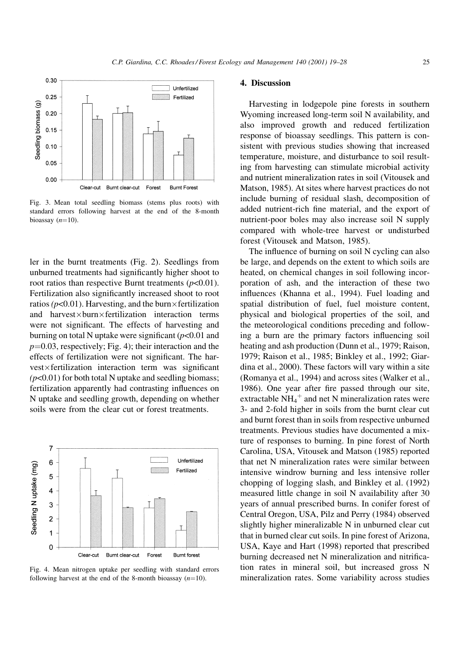

Fig. 3. Mean total seedling biomass (stems plus roots) with standard errors following harvest at the end of the 8-month bioassay  $(n=10)$ .

ler in the burnt treatments (Fig. 2). Seedlings from unburned treatments had significantly higher shoot to root ratios than respective Burnt treatments  $(p<0.01)$ . Fertilization also significantly increased shoot to root ratios ( $p<0.01$ ). Harvesting, and the burn $\times$ fertilization and harvest $\times$ burn $\times$ fertilization interaction terms were not significant. The effects of harvesting and burning on total N uptake were significant  $(p<0.01$  and  $p=0.03$ , respectively; Fig. 4); their interaction and the effects of fertilization were not significant. The harvest×fertilization interaction term was significant  $(p<0.01)$  for both total N uptake and seedling biomass; fertilization apparently had contrasting influences on N uptake and seedling growth, depending on whether soils were from the clear cut or forest treatments.



Fig. 4. Mean nitrogen uptake per seedling with standard errors following harvest at the end of the 8-month bioassay  $(n=10)$ .

#### 4. Discussion

Harvesting in lodgepole pine forests in southern Wyoming increased long-term soil N availability, and also improved growth and reduced fertilization response of bioassay seedlings. This pattern is consistent with previous studies showing that increased temperature, moisture, and disturbance to soil resulting from harvesting can stimulate microbial activity and nutrient mineralization rates in soil (Vitousek and Matson, 1985). At sites where harvest practices do not include burning of residual slash, decomposition of added nutrient-rich fine material, and the export of nutrient-poor boles may also increase soil N supply compared with whole-tree harvest or undisturbed forest (Vitousek and Matson, 1985).

The influence of burning on soil N cycling can also be large, and depends on the extent to which soils are heated, on chemical changes in soil following incorporation of ash, and the interaction of these two influences (Khanna et al., 1994). Fuel loading and spatial distribution of fuel, fuel moisture content, physical and biological properties of the soil, and the meteorological conditions preceding and following a burn are the primary factors influencing soil heating and ash production (Dunn et al., 1979; Raison, 1979; Raison et al., 1985; Binkley et al., 1992; Giardina et al., 2000). These factors will vary within a site (Romanya et al., 1994) and across sites (Walker et al., 1986). One year after fire passed through our site, extractable  $NH_4^+$  and net N mineralization rates were 3- and 2-fold higher in soils from the burnt clear cut and burnt forest than in soils from respective unburned treatments. Previous studies have documented a mixture of responses to burning. In pine forest of North Carolina, USA, Vitousek and Matson (1985) reported that net N mineralization rates were similar between intensive windrow burning and less intensive roller chopping of logging slash, and Binkley et al. (1992) measured little change in soil N availability after 30 years of annual prescribed burns. In conifer forest of Central Oregon, USA, Pilz and Perry (1984) observed slightly higher mineralizable N in unburned clear cut that in burned clear cut soils. In pine forest of Arizona, USA, Kaye and Hart (1998) reported that prescribed burning decreased net N mineralization and nitrification rates in mineral soil, but increased gross N mineralization rates. Some variability across studies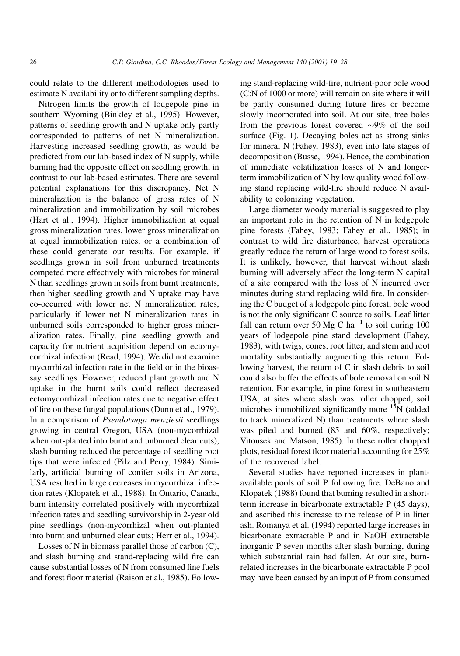could relate to the different methodologies used to estimate N availability or to different sampling depths.

Nitrogen limits the growth of lodgepole pine in southern Wyoming (Binkley et al., 1995). However, patterns of seedling growth and N uptake only partly corresponded to patterns of net N mineralization. Harvesting increased seedling growth, as would be predicted from our lab-based index of N supply, while burning had the opposite effect on seedling growth, in contrast to our lab-based estimates. There are several potential explanations for this discrepancy. Net N mineralization is the balance of gross rates of N mineralization and immobilization by soil microbes (Hart et al., 1994). Higher immobilization at equal gross mineralization rates, lower gross mineralization at equal immobilization rates, or a combination of these could generate our results. For example, if seedlings grown in soil from unburned treatments competed more effectively with microbes for mineral N than seedlings grown in soils from burnt treatments, then higher seedling growth and N uptake may have co-occurred with lower net N mineralization rates, particularly if lower net N mineralization rates in unburned soils corresponded to higher gross mineralization rates. Finally, pine seedling growth and capacity for nutrient acquisition depend on ectomycorrhizal infection (Read, 1994). We did not examine mycorrhizal infection rate in the field or in the bioassay seedlings. However, reduced plant growth and N uptake in the burnt soils could reflect decreased ectomycorrhizal infection rates due to negative effect of fire on these fungal populations (Dunn et al., 1979). In a comparison of Pseudotsuga menziesii seedlings growing in central Oregon, USA (non-mycorrhizal when out-planted into burnt and unburned clear cuts), slash burning reduced the percentage of seedling root tips that were infected (Pilz and Perry, 1984). Similarly, artificial burning of conifer soils in Arizona, USA resulted in large decreases in mycorrhizal infection rates (Klopatek et al., 1988). In Ontario, Canada, burn intensity correlated positively with mycorrhizal infection rates and seedling survivorship in 2-year old pine seedlings (non-mycorrhizal when out-planted into burnt and unburned clear cuts; Herr et al., 1994).

Losses of N in biomass parallel those of carbon (C), and slash burning and stand-replacing wild fire can cause substantial losses of N from consumed fine fuels and forest floor material (Raison et al., 1985). Follow-

ing stand-replacing wild-fire, nutrient-poor bole wood (C:N of 1000 or more) will remain on site where it will be partly consumed during future fires or become slowly incorporated into soil. At our site, tree boles from the previous forest covered  $\sim 9\%$  of the soil surface (Fig. 1). Decaying boles act as strong sinks for mineral N (Fahey, 1983), even into late stages of decomposition (Busse, 1994). Hence, the combination of immediate volatilization losses of N and longerterm immobilization of N by low quality wood following stand replacing wild-fire should reduce N availability to colonizing vegetation.

Large diameter woody material is suggested to play an important role in the retention of N in lodgepole pine forests (Fahey, 1983; Fahey et al., 1985); in contrast to wild fire disturbance, harvest operations greatly reduce the return of large wood to forest soils. It is unlikely, however, that harvest without slash burning will adversely affect the long-term N capital of a site compared with the loss of N incurred over minutes during stand replacing wild fire. In considering the C budget of a lodgepole pine forest, bole wood is not the only significant C source to soils. Leaf litter fall can return over 50 Mg C ha<sup> $-1$ </sup> to soil during 100 years of lodgepole pine stand development (Fahey, 1983), with twigs, cones, root litter, and stem and root mortality substantially augmenting this return. Following harvest, the return of C in slash debris to soil could also buffer the effects of bole removal on soil N retention. For example, in pine forest in southeastern USA, at sites where slash was roller chopped, soil microbes immobilized significantly more  $15N$  (added to track mineralized N) than treatments where slash was piled and burned (85 and 60%, respectively; Vitousek and Matson, 1985). In these roller chopped plots, residual forest floor material accounting for  $25\%$ of the recovered label.

Several studies have reported increases in plantavailable pools of soil P following fire. DeBano and Klopatek (1988) found that burning resulted in a shortterm increase in bicarbonate extractable P (45 days), and ascribed this increase to the release of P in litter ash. Romanya et al. (1994) reported large increases in bicarbonate extractable P and in NaOH extractable inorganic P seven months after slash burning, during which substantial rain had fallen. At our site, burnrelated increases in the bicarbonate extractable P pool may have been caused by an input of P from consumed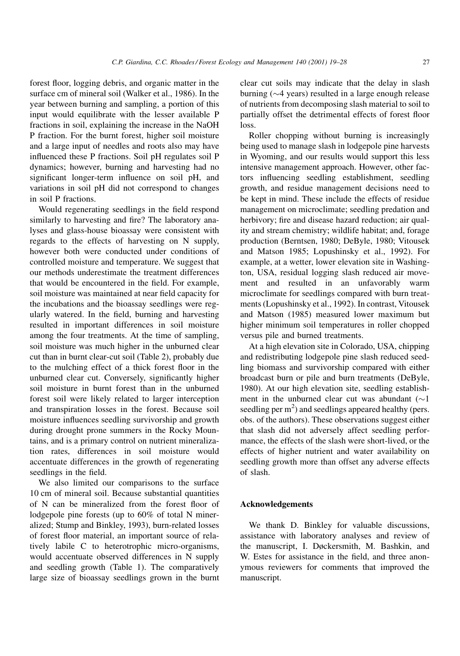forest floor, logging debris, and organic matter in the surface cm of mineral soil (Walker et al., 1986). In the year between burning and sampling, a portion of this input would equilibrate with the lesser available P fractions in soil, explaining the increase in the NaOH P fraction. For the burnt forest, higher soil moisture and a large input of needles and roots also may have influenced these P fractions. Soil pH regulates soil P dynamics; however, burning and harvesting had no significant longer-term influence on soil pH, and variations in soil pH did not correspond to changes in soil P fractions.

Would regenerating seedlings in the field respond similarly to harvesting and fire? The laboratory analyses and glass-house bioassay were consistent with regards to the effects of harvesting on N supply, however both were conducted under conditions of controlled moisture and temperature. We suggest that our methods underestimate the treatment differences that would be encountered in the field. For example, soil moisture was maintained at near field capacity for the incubations and the bioassay seedlings were regularly watered. In the field, burning and harvesting resulted in important differences in soil moisture among the four treatments. At the time of sampling, soil moisture was much higher in the unburned clear cut than in burnt clear-cut soil (Table 2), probably due to the mulching effect of a thick forest floor in the unburned clear cut. Conversely, significantly higher soil moisture in burnt forest than in the unburned forest soil were likely related to larger interception and transpiration losses in the forest. Because soil moisture influences seedling survivorship and growth during drought prone summers in the Rocky Mountains, and is a primary control on nutrient mineralization rates, differences in soil moisture would accentuate differences in the growth of regenerating seedlings in the field.

We also limited our comparisons to the surface 10 cm of mineral soil. Because substantial quantities of N can be mineralized from the forest floor of lodgepole pine forests (up to 60% of total N mineralized; Stump and Binkley, 1993), burn-related losses of forest floor material, an important source of relatively labile C to heterotrophic micro-organisms, would accentuate observed differences in N supply and seedling growth (Table 1). The comparatively large size of bioassay seedlings grown in the burnt

clear cut soils may indicate that the delay in slash burning ( $\sim$ 4 years) resulted in a large enough release of nutrients from decomposing slash material to soil to partially offset the detrimental effects of forest floor loss.

Roller chopping without burning is increasingly being used to manage slash in lodgepole pine harvests in Wyoming, and our results would support this less intensive management approach. However, other factors influencing seedling establishment, seedling growth, and residue management decisions need to be kept in mind. These include the effects of residue management on microclimate; seedling predation and herbivory; fire and disease hazard reduction; air quality and stream chemistry; wildlife habitat; and, forage production (Berntsen, 1980; DeByle, 1980; Vitousek and Matson 1985; Lopushinsky et al., 1992). For example, at a wetter, lower elevation site in Washington, USA, residual logging slash reduced air movement and resulted in an unfavorably warm microclimate for seedlings compared with burn treatments (Lopushinsky et al., 1992). In contrast, Vitousek and Matson (1985) measured lower maximum but higher minimum soil temperatures in roller chopped versus pile and burned treatments.

At a high elevation site in Colorado, USA, chipping and redistributing lodgepole pine slash reduced seedling biomass and survivorship compared with either broadcast burn or pile and burn treatments (DeByle, 1980). At our high elevation site, seedling establishment in the unburned clear cut was abundant  $(\sim]$ seedling per  $m<sup>2</sup>$ ) and seedlings appeared healthy (pers. obs. of the authors). These observations suggest either that slash did not adversely affect seedling performance, the effects of the slash were short-lived, or the effects of higher nutrient and water availability on seedling growth more than offset any adverse effects of slash.

#### Acknowledgements

We thank D. Binkley for valuable discussions, assistance with laboratory analyses and review of the manuscript, I. Døckersmith, M. Bashkin, and W. Estes for assistance in the field, and three anonymous reviewers for comments that improved the manuscript.